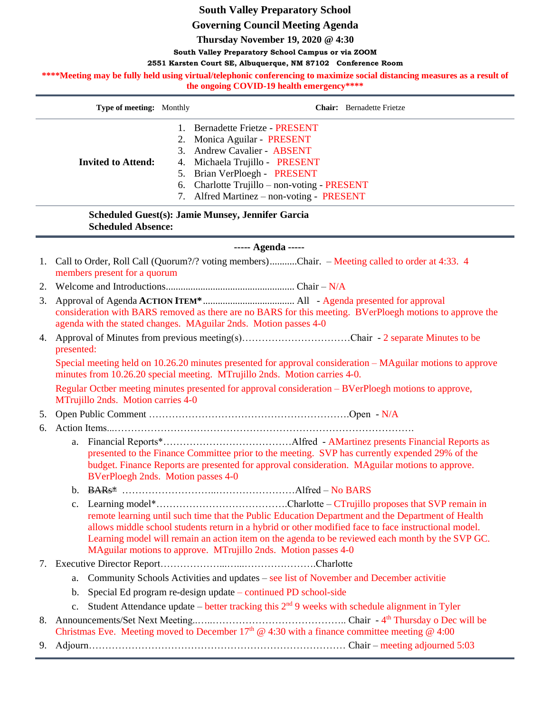## **South Valley Preparatory School**

**Governing Council Meeting Agenda**

**Thursday November 19, 2020 @ 4:30**

**South Valley Preparatory School Campus or via ZOOM**

**2551 Karsten Court SE, Albuquerque, NM 87102 Conference Room**

\*\*\*\*Meeting may be fully held using virtual/telephonic conferencing to maximize social distancing measures as a result of **the ongoing COVID-19 health emergency\*\*\*\***

|                                                                                | Type of meeting: Monthly                                                                                                                                                                                                                                                                                                                                                        |                                                                                                                                                                                                                                        | <b>Chair:</b> Bernadette Frietze                                                                                                                                                                                                                          |  |
|--------------------------------------------------------------------------------|---------------------------------------------------------------------------------------------------------------------------------------------------------------------------------------------------------------------------------------------------------------------------------------------------------------------------------------------------------------------------------|----------------------------------------------------------------------------------------------------------------------------------------------------------------------------------------------------------------------------------------|-----------------------------------------------------------------------------------------------------------------------------------------------------------------------------------------------------------------------------------------------------------|--|
|                                                                                | <b>Invited to Attend:</b>                                                                                                                                                                                                                                                                                                                                                       | 7.                                                                                                                                                                                                                                     | 1. Bernadette Frietze - PRESENT<br>2. Monica Aguilar - PRESENT<br>3. Andrew Cavalier - ABSENT<br>4. Michaela Trujillo - PRESENT<br>5. Brian VerPloegh - PRESENT<br>6. Charlotte Trujillo - non-voting - PRESENT<br>Alfred Martinez – non-voting - PRESENT |  |
| Scheduled Guest(s): Jamie Munsey, Jennifer Garcia<br><b>Scheduled Absence:</b> |                                                                                                                                                                                                                                                                                                                                                                                 |                                                                                                                                                                                                                                        |                                                                                                                                                                                                                                                           |  |
| ----- Agenda -----                                                             |                                                                                                                                                                                                                                                                                                                                                                                 |                                                                                                                                                                                                                                        |                                                                                                                                                                                                                                                           |  |
| 1.                                                                             |                                                                                                                                                                                                                                                                                                                                                                                 | Call to Order, Roll Call (Quorum?/? voting members)Chair. – Meeting called to order at 4:33. 4<br>members present for a quorum                                                                                                         |                                                                                                                                                                                                                                                           |  |
| 2.                                                                             |                                                                                                                                                                                                                                                                                                                                                                                 |                                                                                                                                                                                                                                        |                                                                                                                                                                                                                                                           |  |
| 3.                                                                             | consideration with BARS removed as there are no BARS for this meeting. BVerPloegh motions to approve the<br>agenda with the stated changes. MAguilar 2nds. Motion passes 4-0                                                                                                                                                                                                    |                                                                                                                                                                                                                                        |                                                                                                                                                                                                                                                           |  |
| 4.                                                                             | presented:                                                                                                                                                                                                                                                                                                                                                                      |                                                                                                                                                                                                                                        |                                                                                                                                                                                                                                                           |  |
|                                                                                | Special meeting held on 10.26.20 minutes presented for approval consideration – MAguilar motions to approve<br>minutes from 10.26.20 special meeting. MTrujillo 2nds. Motion carries 4-0.                                                                                                                                                                                       |                                                                                                                                                                                                                                        |                                                                                                                                                                                                                                                           |  |
|                                                                                | Regular Octber meeting minutes presented for approval consideration – BVerPloegh motions to approve,<br>MTrujillo 2nds. Motion carries 4-0                                                                                                                                                                                                                                      |                                                                                                                                                                                                                                        |                                                                                                                                                                                                                                                           |  |
| 5.                                                                             |                                                                                                                                                                                                                                                                                                                                                                                 |                                                                                                                                                                                                                                        |                                                                                                                                                                                                                                                           |  |
| 6.                                                                             |                                                                                                                                                                                                                                                                                                                                                                                 |                                                                                                                                                                                                                                        |                                                                                                                                                                                                                                                           |  |
|                                                                                | a.                                                                                                                                                                                                                                                                                                                                                                              | presented to the Finance Committee prior to the meeting. SVP has currently expended 29% of the<br>budget. Finance Reports are presented for approval consideration. MAguilar motions to approve.<br>BVerPloegh 2nds. Motion passes 4-0 |                                                                                                                                                                                                                                                           |  |
|                                                                                |                                                                                                                                                                                                                                                                                                                                                                                 |                                                                                                                                                                                                                                        |                                                                                                                                                                                                                                                           |  |
|                                                                                | remote learning until such time that the Public Education Department and the Department of Health<br>allows middle school students return in a hybrid or other modified face to face instructional model.<br>Learning model will remain an action item on the agenda to be reviewed each month by the SVP GC.<br>MAguilar motions to approve. MTrujillo 2nds. Motion passes 4-0 |                                                                                                                                                                                                                                        |                                                                                                                                                                                                                                                           |  |
|                                                                                |                                                                                                                                                                                                                                                                                                                                                                                 |                                                                                                                                                                                                                                        |                                                                                                                                                                                                                                                           |  |
|                                                                                | Community Schools Activities and updates – see list of November and December activitie<br>a.                                                                                                                                                                                                                                                                                    |                                                                                                                                                                                                                                        |                                                                                                                                                                                                                                                           |  |
|                                                                                | b.                                                                                                                                                                                                                                                                                                                                                                              |                                                                                                                                                                                                                                        | Special Ed program re-design update – continued PD school-side                                                                                                                                                                                            |  |
|                                                                                | $\mathbf{c}$ .                                                                                                                                                                                                                                                                                                                                                                  | Student Attendance update – better tracking this $2nd 9$ weeks with schedule alignment in Tyler                                                                                                                                        |                                                                                                                                                                                                                                                           |  |
|                                                                                | Christmas Eve. Meeting moved to December 17 <sup>th</sup> @ 4:30 with a finance committee meeting @ 4:00                                                                                                                                                                                                                                                                        |                                                                                                                                                                                                                                        |                                                                                                                                                                                                                                                           |  |
| 9.                                                                             |                                                                                                                                                                                                                                                                                                                                                                                 |                                                                                                                                                                                                                                        |                                                                                                                                                                                                                                                           |  |